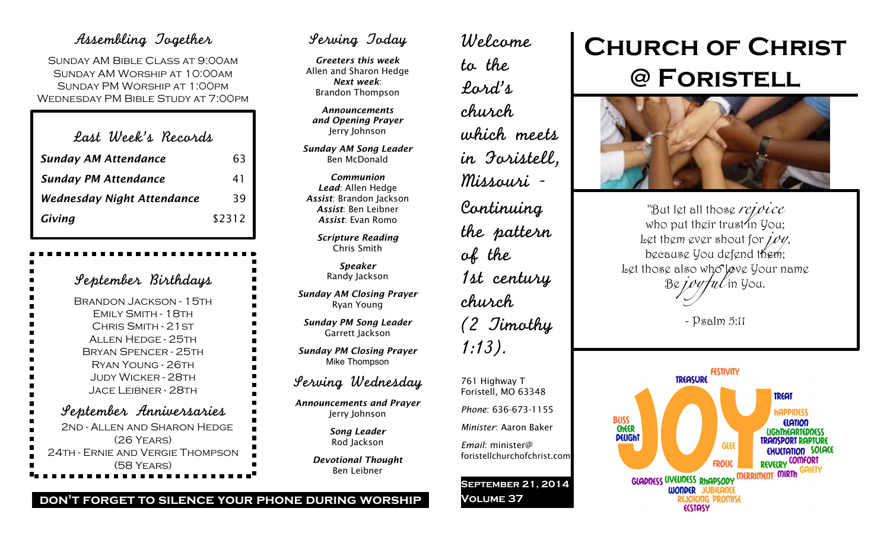### Assembling Together

Sunday AM Bible Class at 9:00am Sunday AM Worship at 10:00am Sunday PM Worship at 1:00pm Wednesday PM Bible Study at 7:00pm

| Last Week's Records               |        |
|-----------------------------------|--------|
| <b>Sunday AM Attendance</b>       | 63     |
| <b>Sunday PM Attendance</b>       | 41     |
| <b>Wednesday Night Attendance</b> | 39     |
| Giving                            | \$2312 |

| September Birthdays              |
|----------------------------------|
| <b>BRANDON JACKSON - 15TH</b>    |
| FMILY SMITH - 18TH               |
| CHRIS SMITH - 21 ST              |
| <b>ALLEN HEDGE - 25TH</b>        |
| <b>BRYAN SPENCER - 25TH</b>      |
| <b>RYAN YOUNG - 26TH</b>         |
| <b>JUDY WICKER - 28TH</b>        |
| <b>JACE LEIBNER - 28TH</b>       |
| September Anniversaries          |
| 2ND - ALLEN AND SHARON HEDGE     |
| $(26$ YEARS)                     |
| 24TH - ERNIE AND VERGIE THOMPSON |
| (58 YEARS)                       |

## Serving Today

*Greeters this week* Allen and Sharon Hedge *Next week*: Brandon Thompson

*Announcements and Opening Prayer* Jerry Johnson

*Sunday AM Song Leader* Ben McDonald

*Communion Lead*: Allen Hedge *Assist*: Brandon Jackson *Assist*: Ben Leibner *Assist*: Evan Romo

> *Scripture Reading* Chris Smith

> > *Speaker* Randy Jackson

*Sunday AM Closing Prayer* Ryan Young

*Sunday PM Song Leader* Garrett Jackson

*Sunday PM Closing Prayer* Mike Thompson

### Serving Wednesday

*Announcements and Prayer* Jerry Johnson

> *Song Leader* Rod Jackson

*Devotional Thought* Ben Leibner

# to the Lord's church of the church 1:13). 761 Highway T *Minister*: Aaron Baker

*Email*: minister@

**Volume 37**

foristellchurchofchrist.com

**September 21, 2014**

Welcome

which meets in Foristell, Missouri - Continuing the pattern 1st century (2 Timothy Foristell, MO 63348 *Phone*: 636-673-1155

# **Church of Christ @ Foristell**



"But let all those *rejoice* who put their trust in  $y_{0}$ . Let them ever shout for *joy*, because You defend them; Let those also who lave your name Be *joyful* in You.

- Psalm 5:11



#### **don't forget to silence your phone during worship**